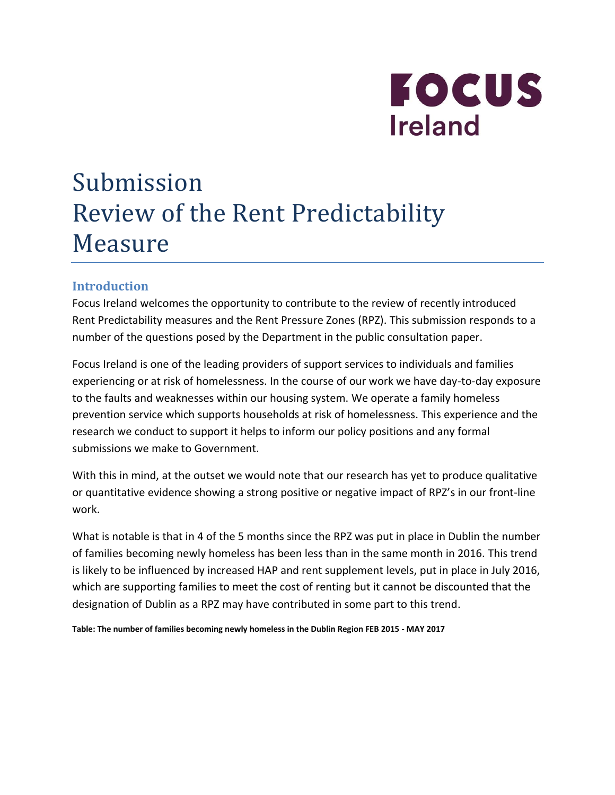

# Submission Review of the Rent Predictability Measure

# **Introduction**

Focus Ireland welcomes the opportunity to contribute to the review of recently introduced Rent Predictability measures and the Rent Pressure Zones (RPZ). This submission responds to a number of the questions posed by the Department in the public consultation paper.

Focus Ireland is one of the leading providers of support services to individuals and families experiencing or at risk of homelessness. In the course of our work we have day-to-day exposure to the faults and weaknesses within our housing system. We operate a family homeless prevention service which supports households at risk of homelessness. This experience and the research we conduct to support it helps to inform our policy positions and any formal submissions we make to Government.

With this in mind, at the outset we would note that our research has yet to produce qualitative or quantitative evidence showing a strong positive or negative impact of RPZ's in our front-line work.

What is notable is that in 4 of the 5 months since the RPZ was put in place in Dublin the number of families becoming newly homeless has been less than in the same month in 2016. This trend is likely to be influenced by increased HAP and rent supplement levels, put in place in July 2016, which are supporting families to meet the cost of renting but it cannot be discounted that the designation of Dublin as a RPZ may have contributed in some part to this trend.

**Table: The number of families becoming newly homeless in the Dublin Region FEB 2015 - MAY 2017**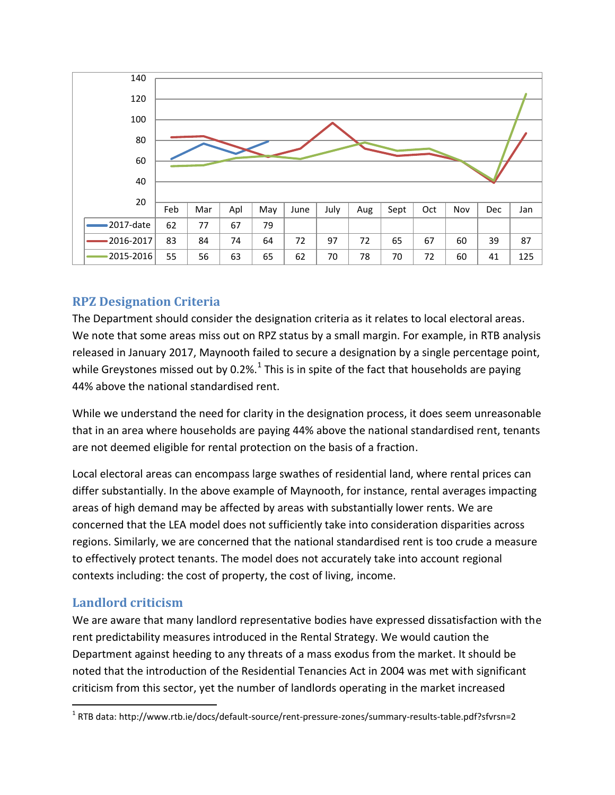

# **RPZ Designation Criteria**

The Department should consider the designation criteria as it relates to local electoral areas. We note that some areas miss out on RPZ status by a small margin. For example, in RTB analysis released in January 2017, Maynooth failed to secure a designation by a single percentage point, while Greystones missed out by 0.2%. $^{1}$  This is in spite of the fact that households are paying 44% above the national standardised rent.

While we understand the need for clarity in the designation process, it does seem unreasonable that in an area where households are paying 44% above the national standardised rent, tenants are not deemed eligible for rental protection on the basis of a fraction.

Local electoral areas can encompass large swathes of residential land, where rental prices can differ substantially. In the above example of Maynooth, for instance, rental averages impacting areas of high demand may be affected by areas with substantially lower rents. We are concerned that the LEA model does not sufficiently take into consideration disparities across regions. Similarly, we are concerned that the national standardised rent is too crude a measure to effectively protect tenants. The model does not accurately take into account regional contexts including: the cost of property, the cost of living, income.

### **Landlord criticism**

We are aware that many landlord representative bodies have expressed dissatisfaction with the rent predictability measures introduced in the Rental Strategy. We would caution the Department against heeding to any threats of a mass exodus from the market. It should be noted that the introduction of the Residential Tenancies Act in 2004 was met with significant criticism from this sector, yet the number of landlords operating in the market increased

 $\overline{a}$ 1 RTB data: http://www.rtb.ie/docs/default-source/rent-pressure-zones/summary-results-table.pdf?sfvrsn=2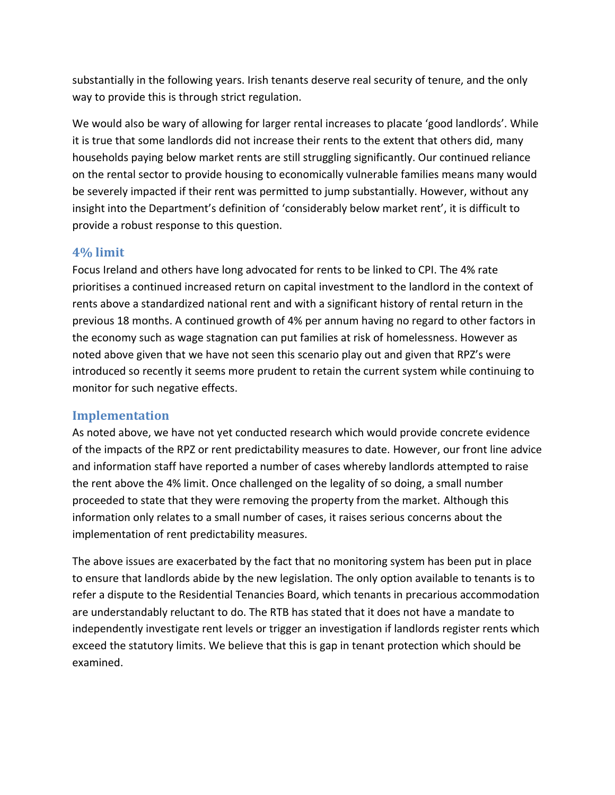substantially in the following years. Irish tenants deserve real security of tenure, and the only way to provide this is through strict regulation.

We would also be wary of allowing for larger rental increases to placate 'good landlords'. While it is true that some landlords did not increase their rents to the extent that others did, many households paying below market rents are still struggling significantly. Our continued reliance on the rental sector to provide housing to economically vulnerable families means many would be severely impacted if their rent was permitted to jump substantially. However, without any insight into the Department's definition of 'considerably below market rent', it is difficult to provide a robust response to this question.

#### **4% limit**

Focus Ireland and others have long advocated for rents to be linked to CPI. The 4% rate prioritises a continued increased return on capital investment to the landlord in the context of rents above a standardized national rent and with a significant history of rental return in the previous 18 months. A continued growth of 4% per annum having no regard to other factors in the economy such as wage stagnation can put families at risk of homelessness. However as noted above given that we have not seen this scenario play out and given that RPZ's were introduced so recently it seems more prudent to retain the current system while continuing to monitor for such negative effects.

#### **Implementation**

As noted above, we have not yet conducted research which would provide concrete evidence of the impacts of the RPZ or rent predictability measures to date. However, our front line advice and information staff have reported a number of cases whereby landlords attempted to raise the rent above the 4% limit. Once challenged on the legality of so doing, a small number proceeded to state that they were removing the property from the market. Although this information only relates to a small number of cases, it raises serious concerns about the implementation of rent predictability measures.

The above issues are exacerbated by the fact that no monitoring system has been put in place to ensure that landlords abide by the new legislation. The only option available to tenants is to refer a dispute to the Residential Tenancies Board, which tenants in precarious accommodation are understandably reluctant to do. The RTB has stated that it does not have a mandate to independently investigate rent levels or trigger an investigation if landlords register rents which exceed the statutory limits. We believe that this is gap in tenant protection which should be examined.